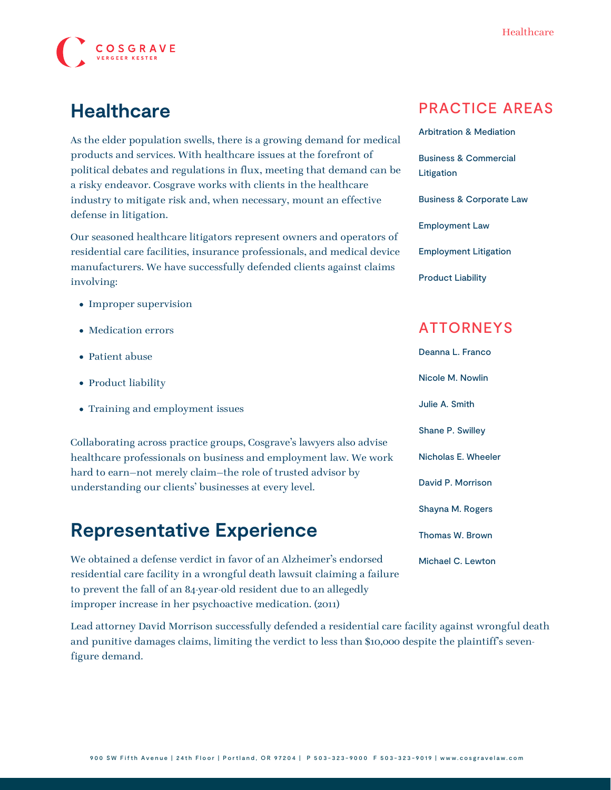

# **Healthcare**

As the elder population swells, there is a growing demand for medical products and services. With healthcare issues at the forefront of political debates and regulations in flux, meeting that demand can be a risky endeavor. Cosgrave works with clients in the healthcare industry to mitigate risk and, when necessary, mount an effective defense in litigation.

Our seasoned healthcare litigators represent owners and operators of residential care facilities, insurance professionals, and medical device manufacturers. We have successfully defended clients against claims involving:

- Improper supervision
- Medication errors
- Patient abuse
- Product liability
- Training and employment issues

Collaborating across practice groups, Cosgrave's lawyers also advise healthcare professionals on business and employment law. We work hard to earn—not merely claim—the role of trusted advisor by understanding our clients' businesses at every level.

### **Representative Experience**

We obtained a defense verdict in favor of an Alzheimer's endorsed residential care facility in a wrongful death lawsuit claiming a failure to prevent the fall of an 84-year-old resident due to an allegedly improper increase in her psychoactive medication. (2011)

Lead attorney [David Morrison](https://www.cosgravelaw.com/person/david-p-morrison/) successfully defended a residential care facility against wrongful death and punitive damages claims, limiting the verdict to less than \$10,000 despite the plaintiff's sevenfigure demand.

#### PRACTICE AREAS

[Arbitration & Mediation](https://www.cosgravelaw.com/arbitration-mediation/) [Business & Commercial](https://www.cosgravelaw.com/business-commercial-litigation/) [Litigation](https://www.cosgravelaw.com/business-commercial-litigation/) [Business & Corporate Law](https://www.cosgravelaw.com/business-representation-transactions/) [Employment Law](https://www.cosgravelaw.com/employee-relations-hr-advice-counsel/) [Employment Litigation](https://www.cosgravelaw.com/employment-litigation/) [Product Liability](https://www.cosgravelaw.com/product-liability-attorneys/)

### ATTORNEYS

[Deanna L. Franco](https://www.cosgravelaw.com/deanna-l-franco-trust-estate-planning/) [Nicole M. Nowlin](https://www.cosgravelaw.com/nicole-nowlin/) [Julie A. Smith](https://www.cosgravelaw.com/julie-smith-appellate-litigation-services/) [Shane P. Swilley](https://www.cosgravelaw.com/shane-swilley-employment-law/) [Nicholas E. Wheeler](https://www.cosgravelaw.com/nicholas-wheeler-product-liability-attorney/) [David P. Morrison](https://www.cosgravelaw.com/david-p-morrison/) [Shayna M. Rogers](https://www.cosgravelaw.com/shayna-rogers/) [Thomas W. Brown](https://www.cosgravelaw.com/thomas-w-brown/) [Michael C. Lewton](https://www.cosgravelaw.com/michael-lewton-personal-injury-litigation/)